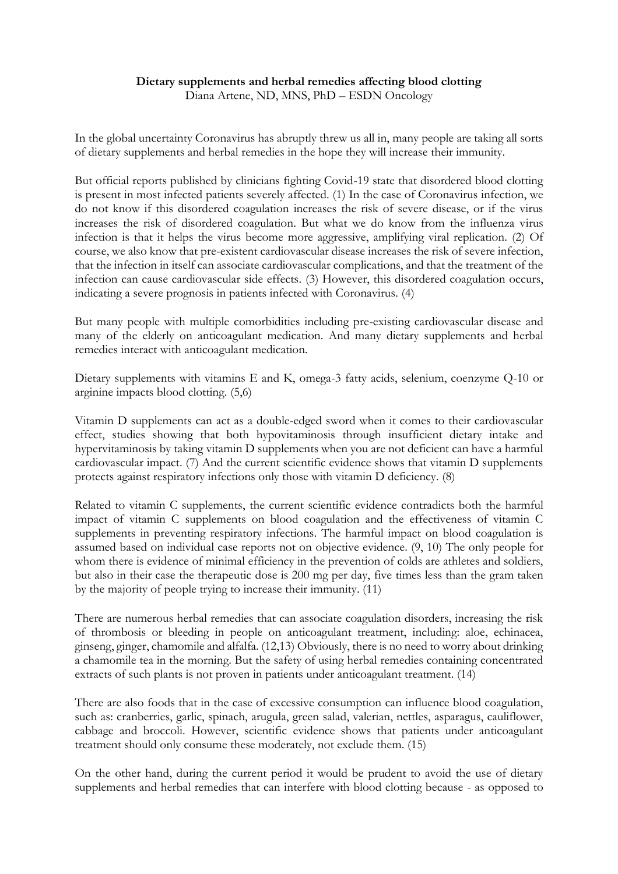## **Dietary supplements and herbal remedies affecting blood clotting**

Diana Artene, ND, MNS, PhD – ESDN Oncology

In the global uncertainty Coronavirus has abruptly threw us all in, many people are taking all sorts of dietary supplements and herbal remedies in the hope they will increase their immunity.

But official reports published by clinicians fighting Covid-19 state that disordered blood clotting is present in most infected patients severely affected. (1) In the case of Coronavirus infection, we do not know if this disordered coagulation increases the risk of severe disease, or if the virus increases the risk of disordered coagulation. But what we do know from the influenza virus infection is that it helps the virus become more aggressive, amplifying viral replication. (2) Of course, we also know that pre-existent cardiovascular disease increases the risk of severe infection, that the infection in itself can associate cardiovascular complications, and that the treatment of the infection can cause cardiovascular side effects. (3) However, this disordered coagulation occurs, indicating a severe prognosis in patients infected with Coronavirus. (4)

But many people with multiple comorbidities including pre-existing cardiovascular disease and many of the elderly on anticoagulant medication. And many dietary supplements and herbal remedies interact with anticoagulant medication.

Dietary supplements with vitamins E and K, omega-3 fatty acids, selenium, coenzyme Q-10 or arginine impacts blood clotting. (5,6)

Vitamin D supplements can act as a double-edged sword when it comes to their cardiovascular effect, studies showing that both hypovitaminosis through insufficient dietary intake and hypervitaminosis by taking vitamin D supplements when you are not deficient can have a harmful cardiovascular impact. (7) And the current scientific evidence shows that vitamin D supplements protects against respiratory infections only those with vitamin D deficiency. (8)

Related to vitamin C supplements, the current scientific evidence contradicts both the harmful impact of vitamin C supplements on blood coagulation and the effectiveness of vitamin C supplements in preventing respiratory infections. The harmful impact on blood coagulation is assumed based on individual case reports not on objective evidence. (9, 10) The only people for whom there is evidence of minimal efficiency in the prevention of colds are athletes and soldiers, but also in their case the therapeutic dose is 200 mg per day, five times less than the gram taken by the majority of people trying to increase their immunity. (11)

There are numerous herbal remedies that can associate coagulation disorders, increasing the risk of thrombosis or bleeding in people on anticoagulant treatment, including: aloe, echinacea, ginseng, ginger, chamomile and alfalfa. (12,13) Obviously, there is no need to worry about drinking a chamomile tea in the morning. But the safety of using herbal remedies containing concentrated extracts of such plants is not proven in patients under anticoagulant treatment. (14)

There are also foods that in the case of excessive consumption can influence blood coagulation, such as: cranberries, garlic, spinach, arugula, green salad, valerian, nettles, asparagus, cauliflower, cabbage and broccoli. However, scientific evidence shows that patients under anticoagulant treatment should only consume these moderately, not exclude them. (15)

On the other hand, during the current period it would be prudent to avoid the use of dietary supplements and herbal remedies that can interfere with blood clotting because - as opposed to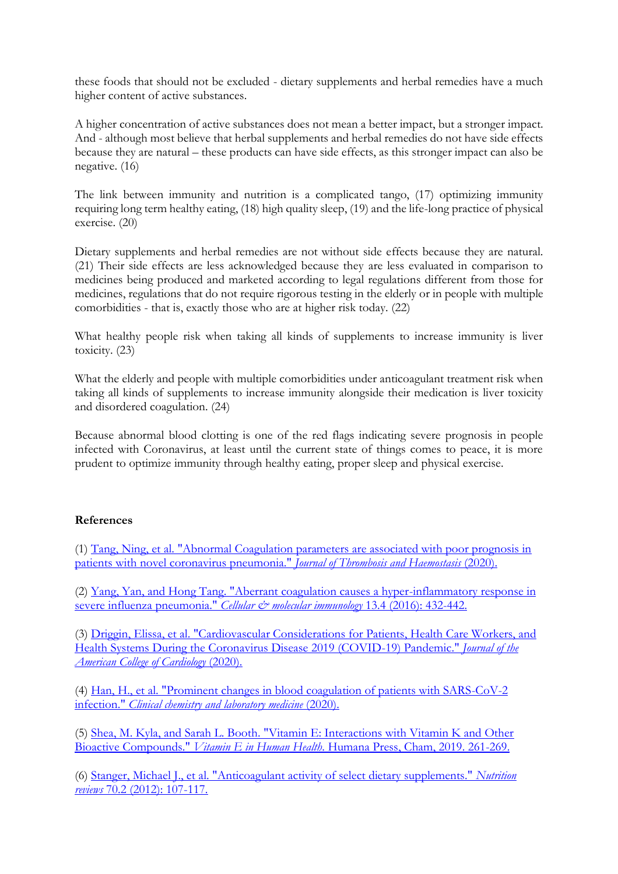these foods that should not be excluded - dietary supplements and herbal remedies have a much higher content of active substances.

A higher concentration of active substances does not mean a better impact, but a stronger impact. And - although most believe that herbal supplements and herbal remedies do not have side effects because they are natural – these products can have side effects, as this stronger impact can also be negative. (16)

The link between immunity and nutrition is a complicated tango, (17) optimizing immunity requiring long term healthy eating, (18) high quality sleep, (19) and the life-long practice of physical exercise. (20)

Dietary supplements and herbal remedies are not without side effects because they are natural. (21) Their side effects are less acknowledged because they are less evaluated in comparison to medicines being produced and marketed according to legal regulations different from those for medicines, regulations that do not require rigorous testing in the elderly or in people with multiple comorbidities - that is, exactly those who are at higher risk today. (22)

What healthy people risk when taking all kinds of supplements to increase immunity is liver toxicity. (23)

What the elderly and people with multiple comorbidities under anticoagulant treatment risk when taking all kinds of supplements to increase immunity alongside their medication is liver toxicity and disordered coagulation. (24)

Because abnormal blood clotting is one of the red flags indicating severe prognosis in people infected with Coronavirus, at least until the current state of things comes to peace, it is more prudent to optimize immunity through healthy eating, proper sleep and physical exercise.

## **References**

(1) [Tang, Ning, et al. "Abnormal Coagulation parameters are associated with poor prognosis in](https://onlinelibrary.wiley.com/doi/full/10.1111/jth.14768)  [patients with novel coronavirus pneumonia."](https://onlinelibrary.wiley.com/doi/full/10.1111/jth.14768) *Journal of Thrombosis and Haemostasis* (2020).

(2) [Yang, Yan, and Hong Tang. "Aberrant coagulation causes a hyper-inflammatory response in](https://www.ncbi.nlm.nih.gov/pmc/articles/PMC4947825/)  [severe influenza pneumonia."](https://www.ncbi.nlm.nih.gov/pmc/articles/PMC4947825/) *Cellular & molecular immunology* 13.4 (2016): 432-442.

(3) [Driggin, Elissa, et al. "Cardiovascular Considerations for Patients, Health Care Workers, and](https://www.sciencedirect.com/science/article/pii/S0735109720346374)  [Health Systems During the Coronavirus Disease 2019 \(COVID-19\) Pandemic."](https://www.sciencedirect.com/science/article/pii/S0735109720346374) *Journal of the [American College of Cardiology](https://www.sciencedirect.com/science/article/pii/S0735109720346374)* (2020).

(4) [Han, H., et al. "Prominent changes in blood coagulation of patients with SARS-CoV-2](https://www.ncbi.nlm.nih.gov/pubmed/32172226)  infection." *[Clinical chemistry and laboratory medicine](https://www.ncbi.nlm.nih.gov/pubmed/32172226)* (2020).

(5) [Shea, M. Kyla, and Sarah L. Booth. "Vitamin E: Interactions with Vitamin K and Other](https://academic.oup.com/ajcn/article/80/1/143/4690270)  Bioactive Compounds." *[Vitamin E in Human Health](https://academic.oup.com/ajcn/article/80/1/143/4690270)*. Humana Press, Cham, 2019. 261-269.

(6) [Stanger, Michael J., et al. "Anticoagulant activity of select dietary supplements."](https://academic.oup.com/nutritionreviews/article/70/2/107/1896192) *Nutrition reviews* [70.2 \(2012\): 107-117.](https://academic.oup.com/nutritionreviews/article/70/2/107/1896192)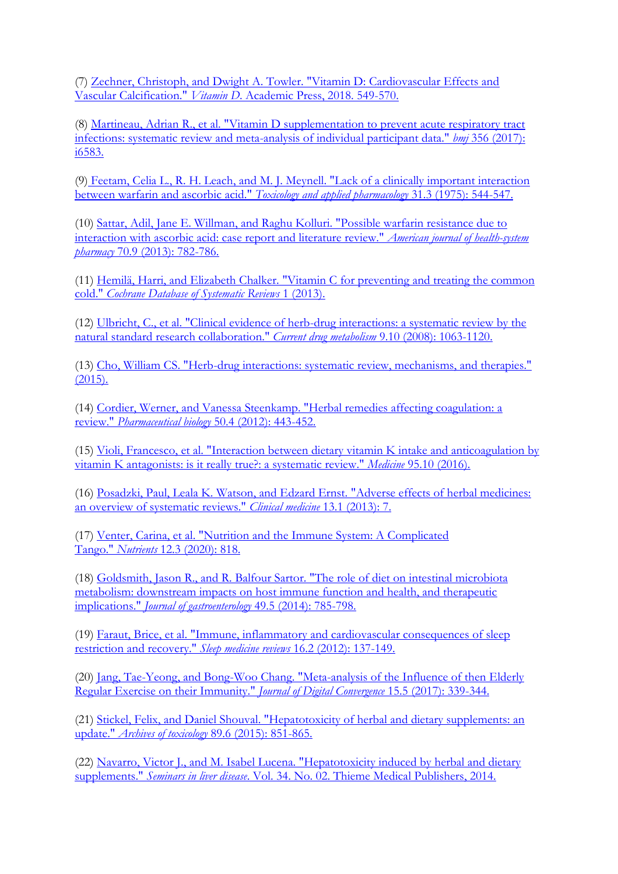(7) [Zechner, Christoph, and Dwight A. Towler. "Vitamin D: Cardiovascular Effects and](https://www.sciencedirect.com/science/article/pii/B9780128099636000845)  Vascular Calcification." *Vitamin D*[. Academic Press, 2018. 549-570.](https://www.sciencedirect.com/science/article/pii/B9780128099636000845)

(8) [Martineau, Adrian R., et al. "Vitamin D supplementation to prevent acute respiratory tract](https://www.bmj.com/content/356/bmj.i6583)  [infections: systematic review and meta-analysis of individual participant data."](https://www.bmj.com/content/356/bmj.i6583) *bmj* 356 (2017): [i6583.](https://www.bmj.com/content/356/bmj.i6583)

(9) [Feetam, Celia L., R. H. Leach, and M. J. Meynell. "Lack of a clinically important interaction](https://www.sciencedirect.com/science/article/pii/0041008X75902781)  [between warfarin and ascorbic acid."](https://www.sciencedirect.com/science/article/pii/0041008X75902781) *Toxicology and applied pharmacology* 31.3 (1975): 544-547.

(10) [Sattar, Adil, Jane E. Willman, and Raghu Kolluri. "Possible warfarin resistance due to](https://academic.oup.com/ajhp/article-abstract/70/9/782/5112493)  [interaction with ascorbic acid: case report and literature review."](https://academic.oup.com/ajhp/article-abstract/70/9/782/5112493) *American journal of health-system pharmacy* [70.9 \(2013\): 782-786.](https://academic.oup.com/ajhp/article-abstract/70/9/782/5112493)

(11) [Hemilä, Harri, and Elizabeth Chalker. "Vitamin C for preventing and treating the common](https://www.ncbi.nlm.nih.gov/pubmed/23440782)  cold." *[Cochrane Database of Systematic Reviews](https://www.ncbi.nlm.nih.gov/pubmed/23440782)* 1 (2013).

(12) [Ulbricht, C., et al. "Clinical evidence of herb-drug interactions: a systematic review by the](https://www.ingentaconnect.com/content/ben/cdm/2008/00000009/00000010/art00009)  [natural standard research collaboration."](https://www.ingentaconnect.com/content/ben/cdm/2008/00000009/00000010/art00009) *Current drug metabolism* 9.10 (2008): 1063-1120.

(13) [Cho, William CS. "Herb-drug interactions: systematic review, mechanisms, and therapies."](https://www.hindawi.com/journals/ecam/2014/957362/)  [\(2015\).](https://www.hindawi.com/journals/ecam/2014/957362/)

(14) [Cordier, Werner, and Vanessa Steenkamp. "Herbal remedies affecting coagulation: a](https://www.tandfonline.com/doi/full/10.3109/13880209.2011.611145)  review." *Pharmaceutical biology* [50.4 \(2012\): 443-452.](https://www.tandfonline.com/doi/full/10.3109/13880209.2011.611145)

(15) [Violi, Francesco, et al. "Interaction between dietary vitamin K intake and anticoagulation by](https://www.ncbi.nlm.nih.gov/pmc/articles/PMC4998867/pdf/medi-95-e02895.pdf)  [vitamin K antagonists: is it really true?: a systematic review."](https://www.ncbi.nlm.nih.gov/pmc/articles/PMC4998867/pdf/medi-95-e02895.pdf) *Medicine* 95.10 (2016).

(16) [Posadzki, Paul, Leala K. Watson, and Edzard Ernst. "Adverse effects of herbal medicines:](https://www.ncbi.nlm.nih.gov/pmc/articles/PMC5873713/)  [an overview of systematic reviews."](https://www.ncbi.nlm.nih.gov/pmc/articles/PMC5873713/) *Clinical medicine* 13.1 (2013): 7.

(17) Venter, Carina, et al. "Nutrition [and the Immune System: A Complicated](https://www.mdpi.com/2072-6643/12/3/818)  Tango." *Nutrients* [12.3 \(2020\): 818.](https://www.mdpi.com/2072-6643/12/3/818)

(18) [Goldsmith, Jason R., and R. Balfour Sartor. "The role of diet on intestinal microbiota](https://link.springer.com/article/10.1007/s00535-014-0953-z)  [metabolism: downstream impacts on host immune function and health, and therapeutic](https://link.springer.com/article/10.1007/s00535-014-0953-z)  implications." *[Journal of gastroenterology](https://link.springer.com/article/10.1007/s00535-014-0953-z)* 49.5 (2014): 785-798.

(19) [Faraut, Brice, et al. "Immune, inflammatory and cardiovascular consequences of sleep](https://www.sciencedirect.com/science/article/abs/pii/S1087079211000566)  [restriction and recovery."](https://www.sciencedirect.com/science/article/abs/pii/S1087079211000566) *Sleep medicine reviews* 16.2 (2012): 137-149.

(20) [Jang, Tae-Yeong, and Bong-Woo Chang. "Meta-analysis of the Influence of then Elderly](http://www.koreascience.or.kr/article/JAKO201718555881704.page?fbclid=IwAR01XBXbWBaGaas4fsWkUtQcfU9to0cSDey8jRd4nr5xXqL2j3uClBIbT7U)  [Regular Exercise on their Immunity."](http://www.koreascience.or.kr/article/JAKO201718555881704.page?fbclid=IwAR01XBXbWBaGaas4fsWkUtQcfU9to0cSDey8jRd4nr5xXqL2j3uClBIbT7U) *Journal of Digital Convergence* 15.5 (2017): 339-344.

(21) [Stickel, Felix, and Daniel Shouval. "Hepatotoxicity of herbal and dietary supplements: an](https://link.springer.com/article/10.1007/s00204-015-1471-3)  update." *Archives of toxicology* [89.6 \(2015\): 851-865.](https://link.springer.com/article/10.1007/s00204-015-1471-3)

(22) [Navarro, Victor J., and M. Isabel Lucena. "Hepatotoxicity induced by herbal and dietary](https://www.thieme-connect.com/products/ejournals/html/10.1055/s-0034-1375958)  supplements." *Seminars in liver disease*[. Vol. 34. No. 02. Thieme Medical Publishers, 2014.](https://www.thieme-connect.com/products/ejournals/html/10.1055/s-0034-1375958)